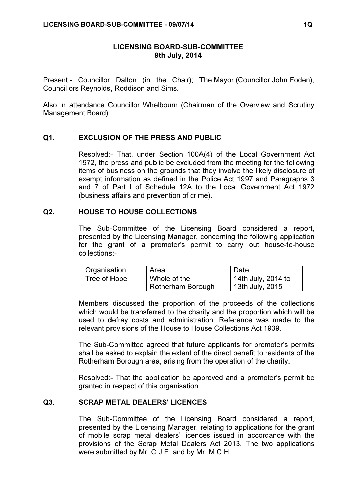## LICENSING BOARD-SUB-COMMITTEE 9th July, 2014

Present:- Councillor Dalton (in the Chair); The Mayor (Councillor John Foden), Councillors Reynolds, Roddison and Sims.

Also in attendance Councillor Whelbourn (Chairman of the Overview and Scrutiny Management Board)

#### Q1. EXCLUSION OF THE PRESS AND PUBLIC

 Resolved:- That, under Section 100A(4) of the Local Government Act 1972, the press and public be excluded from the meeting for the following items of business on the grounds that they involve the likely disclosure of exempt information as defined in the Police Act 1997 and Paragraphs 3 and 7 of Part I of Schedule 12A to the Local Government Act 1972 (business affairs and prevention of crime).

### Q2. HOUSE TO HOUSE COLLECTIONS

 The Sub-Committee of the Licensing Board considered a report, presented by the Licensing Manager, concerning the following application for the grant of a promoter's permit to carry out house-to-house collections:-

| Organisation | Area              | Date               |
|--------------|-------------------|--------------------|
| Tree of Hope | Whole of the      | 14th July, 2014 to |
|              | Rotherham Borough | 13th July, 2015    |

Members discussed the proportion of the proceeds of the collections which would be transferred to the charity and the proportion which will be used to defray costs and administration. Reference was made to the relevant provisions of the House to House Collections Act 1939.

The Sub-Committee agreed that future applicants for promoter's permits shall be asked to explain the extent of the direct benefit to residents of the Rotherham Borough area, arising from the operation of the charity.

Resolved:- That the application be approved and a promoter's permit be granted in respect of this organisation.

# Q3. SCRAP METAL DEALERS' LICENCES

 The Sub-Committee of the Licensing Board considered a report, presented by the Licensing Manager, relating to applications for the grant of mobile scrap metal dealers' licences issued in accordance with the provisions of the Scrap Metal Dealers Act 2013. The two applications were submitted by Mr. C.J.E. and by Mr. M.C.H